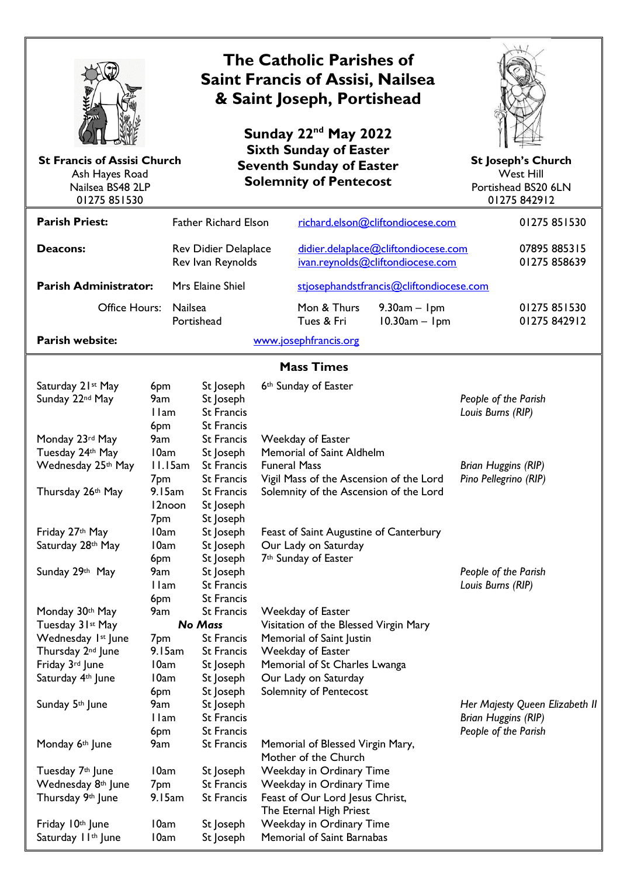| <b>St Francis of Assisi Church</b><br>Ash Hayes Road<br>Nailsea BS48 2LP<br>01275 851530                                                                                                                                                                                                                  | <b>The Catholic Parishes of</b><br><b>Saint Francis of Assisi, Nailsea</b><br>& Saint Joseph, Portishead<br>Sunday 22 <sup>nd</sup> May 2022<br><b>Sixth Sunday of Easter</b><br><b>Seventh Sunday of Easter</b><br><b>Solemnity of Pentecost</b> |                                                             |                                                                                                                                                                                                                                                                            |                                                                                                                                                                                                                                                                                                                                                                                                                                            |                           | <b>St Joseph's Church</b><br><b>West Hill</b><br>Portishead BS20 6LN<br>01275 842912 |                                                                                                  |                              |
|-----------------------------------------------------------------------------------------------------------------------------------------------------------------------------------------------------------------------------------------------------------------------------------------------------------|---------------------------------------------------------------------------------------------------------------------------------------------------------------------------------------------------------------------------------------------------|-------------------------------------------------------------|----------------------------------------------------------------------------------------------------------------------------------------------------------------------------------------------------------------------------------------------------------------------------|--------------------------------------------------------------------------------------------------------------------------------------------------------------------------------------------------------------------------------------------------------------------------------------------------------------------------------------------------------------------------------------------------------------------------------------------|---------------------------|--------------------------------------------------------------------------------------|--------------------------------------------------------------------------------------------------|------------------------------|
| <b>Parish Priest:</b>                                                                                                                                                                                                                                                                                     |                                                                                                                                                                                                                                                   |                                                             | <b>Father Richard Elson</b>                                                                                                                                                                                                                                                | richard.elson@cliftondiocese.com                                                                                                                                                                                                                                                                                                                                                                                                           |                           |                                                                                      |                                                                                                  | 01275 851530                 |
| Deacons:                                                                                                                                                                                                                                                                                                  |                                                                                                                                                                                                                                                   |                                                             | Rev Didier Delaplace<br>Rev Ivan Reynolds                                                                                                                                                                                                                                  | didier.delaplace@cliftondiocese.com<br>ivan.reynolds@cliftondiocese.com                                                                                                                                                                                                                                                                                                                                                                    |                           |                                                                                      | 07895 885315<br>01275 858639                                                                     |                              |
| <b>Parish Administrator:</b>                                                                                                                                                                                                                                                                              |                                                                                                                                                                                                                                                   | Mrs Elaine Shiel<br>stjosephandstfrancis@cliftondiocese.com |                                                                                                                                                                                                                                                                            |                                                                                                                                                                                                                                                                                                                                                                                                                                            |                           |                                                                                      |                                                                                                  |                              |
| Office Hours:                                                                                                                                                                                                                                                                                             |                                                                                                                                                                                                                                                   | Nailsea<br>Portishead                                       |                                                                                                                                                                                                                                                                            |                                                                                                                                                                                                                                                                                                                                                                                                                                            | Mon & Thurs<br>Tues & Fri | $9.30am - 1pm$<br>$10.30am - 1pm$                                                    |                                                                                                  | 01275 851530<br>01275 842912 |
| Parish website:                                                                                                                                                                                                                                                                                           |                                                                                                                                                                                                                                                   |                                                             |                                                                                                                                                                                                                                                                            |                                                                                                                                                                                                                                                                                                                                                                                                                                            | www.josephfrancis.org     |                                                                                      |                                                                                                  |                              |
| <b>Mass Times</b>                                                                                                                                                                                                                                                                                         |                                                                                                                                                                                                                                                   |                                                             |                                                                                                                                                                                                                                                                            |                                                                                                                                                                                                                                                                                                                                                                                                                                            |                           |                                                                                      |                                                                                                  |                              |
| Saturday 21st May<br>Sunday 22nd May<br>Monday 23rd May<br>Tuesday 24th May<br>Wednesday 25th May<br>Thursday 26th May                                                                                                                                                                                    | 6pm<br>9am<br>I lam<br>6pm<br>9am<br>10am<br>II.I5am<br>7pm<br>9.15am                                                                                                                                                                             |                                                             | St Joseph<br>St Joseph<br><b>St Francis</b><br><b>St Francis</b><br><b>St Francis</b><br>St Joseph<br><b>St Francis</b><br>St Francis<br><b>St Francis</b>                                                                                                                 | 6th Sunday of Easter<br>Weekday of Easter<br><b>Memorial of Saint Aldhelm</b><br><b>Funeral Mass</b><br>Vigil Mass of the Ascension of the Lord<br>Solemnity of the Ascension of the Lord                                                                                                                                                                                                                                                  |                           |                                                                                      | People of the Parish<br>Louis Burns (RIP)<br><b>Brian Huggins (RIP)</b><br>Pino Pellegrino (RIP) |                              |
| Friday 27th May<br>Saturday 28th May<br>Sunday 29th May                                                                                                                                                                                                                                                   | I 2noon<br>7pm<br>10am<br>10am<br>6pm<br>9am<br>I lam<br>6pm                                                                                                                                                                                      |                                                             | St Joseph<br>St Joseph<br>St Joseph<br>St Joseph<br>St Joseph<br>St Joseph<br><b>St Francis</b><br><b>St Francis</b>                                                                                                                                                       | Feast of Saint Augustine of Canterbury<br>Our Lady on Saturday<br>7 <sup>th</sup> Sunday of Easter                                                                                                                                                                                                                                                                                                                                         |                           |                                                                                      | People of the Parish<br>Louis Burns (RIP)                                                        |                              |
| Monday 30th May<br>Tuesday 31st May<br>Wednesday 1st June<br>Thursday 2 <sup>nd</sup> June<br>Friday 3rd June<br>Saturday 4th June<br>Sunday 5th June<br>Monday 6th June<br>Tuesday 7 <sup>th</sup> June<br>Wednesday 8th June<br>Thursday 9th June<br>Friday 10th June<br>Saturday II <sup>th</sup> June | 9am<br>7 <sub>pm</sub><br>9.15am<br>10am<br>10am<br>6pm<br>9am<br>I lam<br>6pm<br>9am<br>10am<br>7 <sub>pm</sub><br>9.15am<br>10am<br>10am                                                                                                        |                                                             | <b>St Francis</b><br><b>No Mass</b><br><b>St Francis</b><br><b>St Francis</b><br>St Joseph<br>St Joseph<br>St Joseph<br>St Joseph<br><b>St Francis</b><br>St Francis<br><b>St Francis</b><br>St Joseph<br><b>St Francis</b><br><b>St Francis</b><br>St Joseph<br>St Joseph | Weekday of Easter<br>Visitation of the Blessed Virgin Mary<br>Memorial of Saint Justin<br>Weekday of Easter<br>Memorial of St Charles Lwanga<br>Our Lady on Saturday<br>Solemnity of Pentecost<br>Memorial of Blessed Virgin Mary,<br>Mother of the Church<br>Weekday in Ordinary Time<br>Weekday in Ordinary Time<br>Feast of Our Lord Jesus Christ,<br>The Eternal High Priest<br>Weekday in Ordinary Time<br>Memorial of Saint Barnabas |                           | Her Majesty Queen Elizabeth II<br><b>Brian Huggins (RIP)</b><br>People of the Parish |                                                                                                  |                              |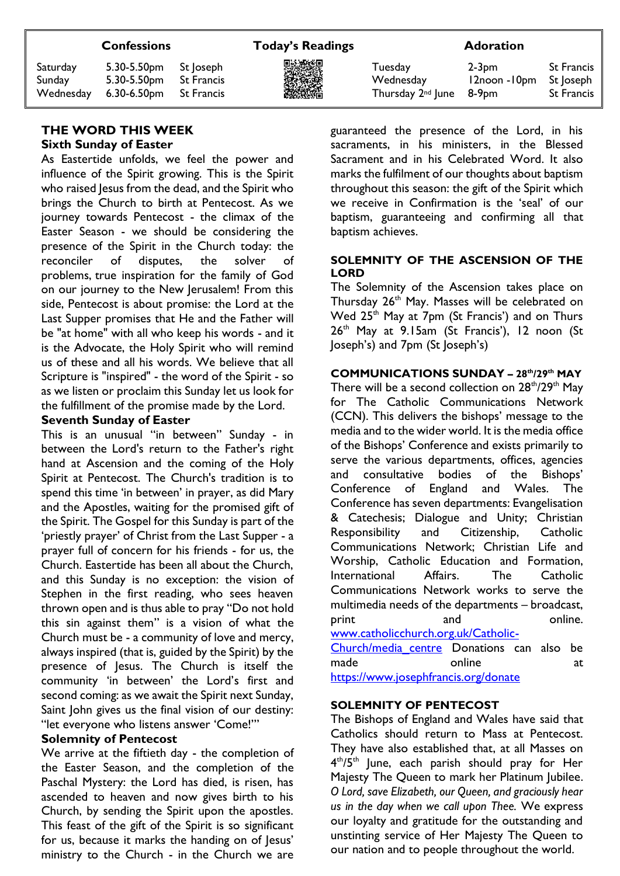Saturday 5.30-5.50pm St Joseph Tuesday 2-3pm St Francis Sunday 5.30-5.50pm St Francis **摄像機 Wednesday** 12noon -10pm St Joseph Wednesday 6.30-6.50pm St Francis **不能的** 网络 Thursday 2<sup>nd</sup> June 8-9pm St Francis

#### **THE WORD THIS WEEK Sixth Sunday of Easter**

As Eastertide unfolds, we feel the power and influence of the Spirit growing. This is the Spirit who raised Jesus from the dead, and the Spirit who brings the Church to birth at Pentecost. As we journey towards Pentecost - the climax of the Easter Season - we should be considering the presence of the Spirit in the Church today: the reconciler of disputes, the solver of problems, true inspiration for the family of God on our journey to the New Jerusalem! From this side, Pentecost is about promise: the Lord at the Last Supper promises that He and the Father will be "at home" with all who keep his words - and it is the Advocate, the Holy Spirit who will remind us of these and all his words. We believe that all Scripture is "inspired" - the word of the Spirit - so as we listen or proclaim this Sunday let us look for the fulfillment of the promise made by the Lord.

#### **Seventh Sunday of Easter**

This is an unusual "in between" Sunday - in between the Lord's return to the Father's right hand at Ascension and the coming of the Holy Spirit at Pentecost. The Church's tradition is to spend this time 'in between' in prayer, as did Mary and the Apostles, waiting for the promised gift of the Spirit. The Gospel for this Sunday is part of the 'priestly prayer' of Christ from the Last Supper - a prayer full of concern for his friends - for us, the Church. Eastertide has been all about the Church, and this Sunday is no exception: the vision of Stephen in the first reading, who sees heaven thrown open and is thus able to pray "Do not hold this sin against them" is a vision of what the Church must be - a community of love and mercy, always inspired (that is, guided by the Spirit) by the presence of Jesus. The Church is itself the community 'in between' the Lord's first and second coming: as we await the Spirit next Sunday, Saint John gives us the final vision of our destiny: "let everyone who listens answer 'Come!'"

#### **Solemnity of Pentecost**

We arrive at the fiftieth day - the completion of the Easter Season, and the completion of the Paschal Mystery: the Lord has died, is risen, has ascended to heaven and now gives birth to his Church, by sending the Spirit upon the apostles. This feast of the gift of the Spirit is so significant for us, because it marks the handing on of Jesus' ministry to the Church - in the Church we are

guaranteed the presence of the Lord, in his sacraments, in his ministers, in the Blessed Sacrament and in his Celebrated Word. It also marks the fulfilment of our thoughts about baptism throughout this season: the gift of the Spirit which we receive in Confirmation is the 'seal' of our baptism, guaranteeing and confirming all that baptism achieves.

#### **SOLEMNITY OF THE ASCENSION OF THE LORD**

The Solemnity of the Ascension takes place on Thursday 26<sup>th</sup> May. Masses will be celebrated on Wed  $25<sup>th</sup>$  May at  $7<sub>pm</sub>$  (St Francis') and on Thurs  $26<sup>th</sup>$  May at 9.15am (St Francis'), 12 noon (St Joseph's) and 7pm (St Joseph's)

#### **COMMUNICATIONS SUNDAY – 28th/29th MAY**

There will be a second collection on  $28<sup>th</sup>/29<sup>th</sup>$  May for The Catholic Communications Network (CCN). This delivers the bishops' message to the media and to the wider world. It is the media office of the Bishops' Conference and exists primarily to serve the various departments, offices, agencies and consultative bodies of the Bishops' Conference of England and Wales. The Conference has seven departments: Evangelisation & Catechesis; Dialogue and Unity; Christian Responsibility and Citizenship, Catholic Communications Network; Christian Life and Worship, Catholic Education and Formation, International Affairs. The Catholic Communications Network works to serve the multimedia needs of the departments – broadcast, print and and online. [www.catholicchurch.org.uk/Catholic-](https://eur02.safelinks.protection.outlook.com/?url=http%3A%2F%2Fwww.catholicchurch.org.uk%2FCatholic-Church%2Fmedia_centre&data=05%7C01%7Cstjosephandstfrancis%40Cliftondiocese.com%7C0ff48eb009cf42f46ce508da38da033b%7Cf10b8f13604e4fa29e1204a7fad22e94%7C0%7C0%7C637884806813412943%7CUnknown%7CTWFpbGZsb3d8eyJWIjoiMC4wLjAwMDAiLCJQIjoiV2luMzIiLCJBTiI6Ik1haWwiLCJXVCI6Mn0%3D%7C3000%7C%7C%7C&sdata=Byx3FVALf8gjXPyTukgDvB0%2BFYDmSF5yX6GrO0lFG7I%3D&reserved=0)[Church/media\\_centre](https://eur02.safelinks.protection.outlook.com/?url=http%3A%2F%2Fwww.catholicchurch.org.uk%2FCatholic-Church%2Fmedia_centre&data=05%7C01%7Cstjosephandstfrancis%40Cliftondiocese.com%7C0ff48eb009cf42f46ce508da38da033b%7Cf10b8f13604e4fa29e1204a7fad22e94%7C0%7C0%7C637884806813412943%7CUnknown%7CTWFpbGZsb3d8eyJWIjoiMC4wLjAwMDAiLCJQIjoiV2luMzIiLCJBTiI6Ik1haWwiLCJXVCI6Mn0%3D%7C3000%7C%7C%7C&sdata=Byx3FVALf8gjXPyTukgDvB0%2BFYDmSF5yX6GrO0lFG7I%3D&reserved=0) Donations can also be made online at

[https://www.josephfrancis.org/donate](https://eur02.safelinks.protection.outlook.com/?url=https%3A%2F%2Fwww.josephfrancis.org%2Fdonate&data=05%7C01%7Cstjosephandstfrancis%40Cliftondiocese.com%7C0ff48eb009cf42f46ce508da38da033b%7Cf10b8f13604e4fa29e1204a7fad22e94%7C0%7C0%7C637884806813412943%7CUnknown%7CTWFpbGZsb3d8eyJWIjoiMC4wLjAwMDAiLCJQIjoiV2luMzIiLCJBTiI6Ik1haWwiLCJXVCI6Mn0%3D%7C3000%7C%7C%7C&sdata=33PPBhmB%2FG5J7nygFTiPV8tR%2BlT6%2FL7hhlZpIG%2Bz22w%3D&reserved=0)

#### **SOLEMNITY OF PENTECOST**

The Bishops of England and Wales have said that Catholics should return to Mass at Pentecost. They have also established that, at all Masses on 4<sup>th</sup>/5<sup>th</sup> June, each parish should pray for Her Majesty The Queen to mark her Platinum Jubilee. *O Lord, save Elizabeth, our Queen, and graciously hear us in the day when we call upon Thee.* We express our loyalty and gratitude for the outstanding and unstinting service of Her Majesty The Queen to our nation and to people throughout the world.

#### **Confessions Today's Readings Adoration**

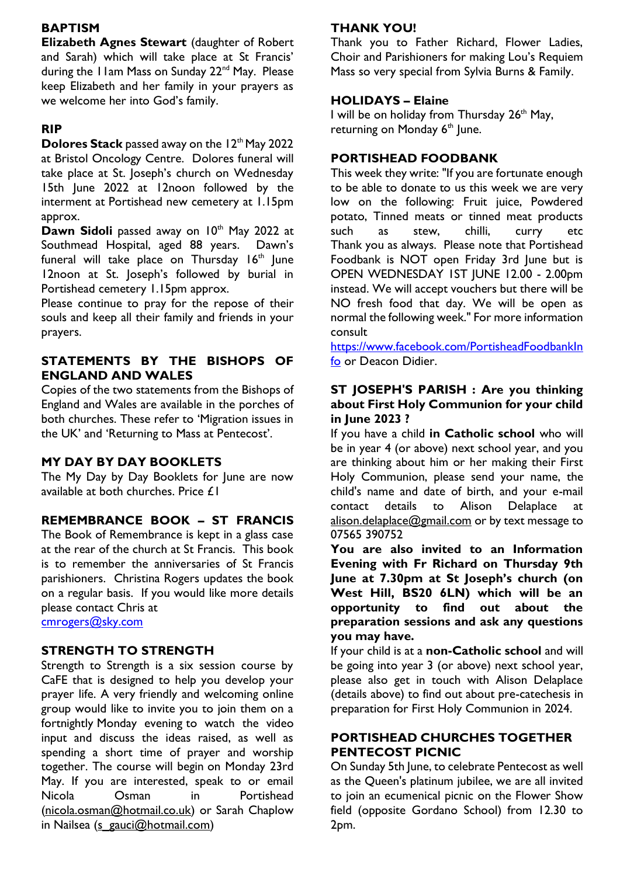## **BAPTISM**

**Elizabeth Agnes Stewart** (daughter of Robert and Sarah) which will take place at St Francis' during the I Iam Mass on Sunday 22<sup>nd</sup> May. Please keep Elizabeth and her family in your prayers as we welcome her into God's family.

## **RIP**

**Dolores Stack** passed away on the 12<sup>th</sup> May 2022 at Bristol Oncology Centre. Dolores funeral will take place at St. Joseph's church on Wednesday 15th June 2022 at 12noon followed by the interment at Portishead new cemetery at 1.15pm approx.

Dawn Sidoli passed away on 10<sup>th</sup> May 2022 at Southmead Hospital, aged 88 years. Dawn's funeral will take place on Thursday 16<sup>th</sup> June 12noon at St. Joseph's followed by burial in Portishead cemetery 1.15pm approx.

Please continue to pray for the repose of their souls and keep all their family and friends in your prayers.

# **STATEMENTS BY THE BISHOPS OF ENGLAND AND WALES**

Copies of the two statements from the Bishops of England and Wales are available in the porches of both churches. These refer to 'Migration issues in the UK' and 'Returning to Mass at Pentecost'.

## **MY DAY BY DAY BOOKLETS**

The My Day by Day Booklets for June are now available at both churches. Price £1

## **REMEMBRANCE BOOK – ST FRANCIS**

The Book of Remembrance is kept in a glass case at the rear of the church at St Francis. This book is to remember the anniversaries of St Francis parishioners. Christina Rogers updates the book on a regular basis. If you would like more details please contact Chris at

[cmrogers@sky.com](mailto:cmrogers@sky.com)

## **STRENGTH TO STRENGTH**

Strength to Strength is a six session course by CaFE that is designed to help you develop your prayer life. A very friendly and welcoming online group would like to invite you to join them on a fortnightly Monday evening to watch the video input and discuss the ideas raised, as well as spending a short time of prayer and worship together. The course will begin on Monday 23rd May. If you are interested, speak to or email Nicola Osman in Portishead [\(nicola.osman@hotmail.co.uk\)](mailto:nicola.osman@hotmail.co.uk) or Sarah Chaplow in Nailsea [\(s\\_gauci@hotmail.com\)](mailto:s_gauci@hotmail.com)

# **THANK YOU!**

Thank you to Father Richard, Flower Ladies, Choir and Parishioners for making Lou's Requiem Mass so very special from Sylvia Burns & Family.

#### **HOLIDAYS – Elaine**

I will be on holiday from Thursday 26<sup>th</sup> May, returning on Monday  $6<sup>th</sup>$  June.

# **PORTISHEAD FOODBANK**

This week they write: "If you are fortunate enough to be able to donate to us this week we are very low on the following: Fruit juice, Powdered potato, Tinned meats or tinned meat products such as stew, chilli, curry etc Thank you as always. Please note that Portishead Foodbank is NOT open Friday 3rd June but is OPEN WEDNESDAY 1ST JUNE 12.00 - 2.00pm instead. We will accept vouchers but there will be NO fresh food that day. We will be open as normal the following week." For more information consult

[https://www.facebook.com/PortisheadFoodbankIn](https://www.facebook.com/PortisheadFoodbankInfo) [fo](https://www.facebook.com/PortisheadFoodbankInfo) or Deacon Didier.

#### **ST JOSEPH'S PARISH : Are you thinking about First Holy Communion for your child in June 2023 ?**

If you have a child **in Catholic school** who will be in year 4 (or above) next school year, and you are thinking about him or her making their First Holy Communion, please send your name, the child's name and date of birth, and your e-mail contact details to Alison Delaplace at [alison.delaplace@gmail.com](mailto:alison.delaplace@gmail.com) or by text message to 07565 390752

**You are also invited to an Information Evening with Fr Richard on Thursday 9th June at 7.30pm at St Joseph's church (on West Hill, BS20 6LN) which will be an opportunity to find out about the preparation sessions and ask any questions you may have.** 

If your child is at a **non-Catholic school** and will be going into year 3 (or above) next school year, please also get in touch with Alison Delaplace (details above) to find out about pre-catechesis in preparation for First Holy Communion in 2024.

## **PORTISHEAD CHURCHES TOGETHER PENTECOST PICNIC**

On Sunday 5th June, to celebrate Pentecost as well as the Queen's platinum jubilee, we are all invited to join an ecumenical picnic on the Flower Show field (opposite Gordano School) from 12.30 to 2pm.